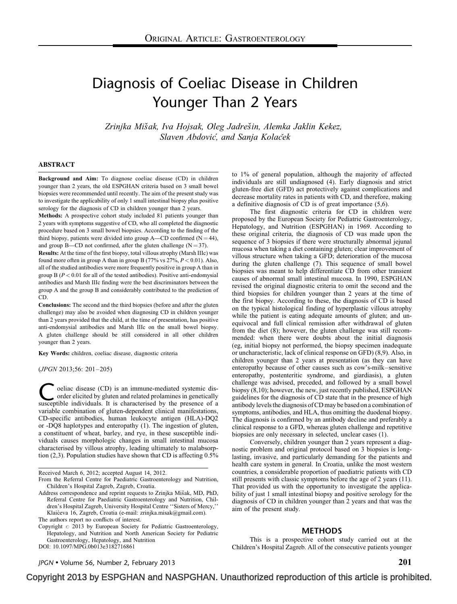# Diagnosis of Coeliac Disease in Children Younger Than 2 Years

Zrinjka Mišak, Iva Hojsak, Oleg Jadrešin, Alemka Jaklin Kekez, Slaven Abdovic', and Sanja Kolacěk

#### ABSTRACT

Background and Aim: To diagnose coeliac disease (CD) in children younger than 2 years, the old ESPGHAN criteria based on 3 small bowel biopsies were recommended until recently. The aim of the present study was to investigate the applicability of only 1 small intestinal biopsy plus positive serology for the diagnosis of CD in children younger than 2 years.

Methods: A prospective cohort study included 81 patients younger than 2 years with symptoms suggestive of CD, who all completed the diagnostic procedure based on 3 small bowel biopsies. According to the finding of the third biopsy, patients were divided into group A—CD confirmed  $(N = 44)$ , and group B—CD not confirmed, after the gluten challenge  $(N = 37)$ .

Results: At the time of the first biopsy, total villous atrophy (Marsh IIIc) was found more often in group A than in group B (77% vs  $27\%$ ,  $P < 0.01$ ). Also, all of the studied antibodies were more frequently positive in group A than in group B ( $P < 0.01$  for all of the tested antibodies). Positive anti-endomysial antibodies and Marsh IIIc finding were the best discriminators between the group A and the group B and considerably contributed to the prediction of CD.

Conclusions: The second and the third biopsies (before and after the gluten challenge) may also be avoided when diagnosing CD in children younger than 2 years provided that the child, at the time of presentation, has positive anti-endomysial antibodies and Marsh IIIc on the small bowel biopsy. A gluten challenge should be still considered in all other children younger than 2 years.

Key Words: children, coeliac disease, diagnostic criteria

(JPGN 2013;56: 201–205)

oeliac disease (CD) is an immune-mediated systemic disorder elicited by gluten and related prolamines in genetically susceptible individuals. It is characterised by the presence of a variable combination of gluten-dependent clinical manifestations, CD-specific antibodies, human leukocyte antigen (HLA)-DQ2 or -DQ8 haplotypes and enteropathy [\(1\).](#page-3-0) The ingestion of gluten, a constituent of wheat, barley, and rye, in these susceptible individuals causes morphologic changes in small intestinal mucosa characterised by villous atrophy, leading ultimately to malabsorption [\(2,3\)](#page-3-0). Population studies have shown that CD is affecting 0.5%

Received March 6, 2012; accepted August 14, 2012.

Copyright  $\circ$  2013 by European Society for Pediatric Gastroenterology, Hepatology, and Nutrition and North American Society for Pediatric Gastroenterology, Hepatology, and Nutrition

DOI: [10.1097/MPG.0b013e3182716861](http://dx.doi.org/10.1097/MPG.0b013e3182716861)

to 1% of general population, although the majority of affected individuals are still undiagnosed [\(4\).](#page-3-0) Early diagnosis and strict gluten-free diet (GFD) act protectively against complications and decrease mortality rates in patients with CD, and therefore, making a definitive diagnosis of CD is of great importance [\(5,6\).](#page-4-0)

The first diagnostic criteria for CD in children were proposed by the European Society for Pediatric Gastroenterology, Hepatology, and Nutrition (ESPGHAN) in 1969. According to these original criteria, the diagnosis of CD was made upon the sequence of 3 biopsies if there were structurally abnormal jejunal mucosa when taking a diet containing gluten; clear improvement of villous structure when taking a GFD; deterioration of the mucosa during the gluten challenge [\(7\).](#page-4-0) This sequence of small bowel biopsies was meant to help differentiate CD from other transient causes of abnormal small intestinal mucosa. In 1990, ESPGHAN revised the original diagnostic criteria to omit the second and the third biopsies for children younger than 2 years at the time of the first biopsy. According to these, the diagnosis of CD is based on the typical histological finding of hyperplastic villous atrophy while the patient is eating adequate amounts of gluten; and unequivocal and full clinical remission after withdrawal of gluten from the diet [\(8\);](#page-4-0) however, the gluten challenge was still recommended: when there were doubts about the initial diagnosis (eg, initial biopsy not performed, the biopsy specimen inadequate or uncharacteristic, lack of clinical response on GFD) [\(8,9\)](#page-4-0). Also, in children younger than 2 years at presentation (as they can have enteropathy because of other causes such as cow's-milk–sensitive enteropathy, postenteritic syndrome, and giardiasis), a gluten challenge was advised, preceded, and followed by a small bowel biopsy [\(8,10\)](#page-4-0); however, the new, just recently published, ESPGHAN guidelines for the diagnosis of CD state that in the presence of high antibody levels the diagnosis of CD may be based on a combination of symptoms, antibodies, and HLA, thus omitting the duodenal biopsy. The diagnosis is confirmed by an antibody decline and preferably a clinical response to a GFD, whereas gluten challenge and repetitive biopsies are only necessary in selected, unclear cases [\(1\).](#page-3-0)

Conversely, children younger than 2 years represent a diagnostic problem and original protocol based on 3 biopsies is longlasting, invasive, and particularly demanding for the patients and health care system in general. In Croatia, unlike the most western countries, a considerable proportion of paediatric patients with CD still presents with classic symptoms before the age of 2 years [\(11\)](#page-4-0). That provided us with the opportunity to investigate the applicability of just 1 small intestinal biopsy and positive serology for the diagnosis of CD in children younger than 2 years and that was the aim of the present study.

#### METHODS

This is a prospective cohort study carried out at the Children's Hospital Zagreb. All of the consecutive patients younger

 $JPGN \bullet$  Volume 56, Number 2, February 2013 201

From the Referral Centre for Paediatric Gastroenterology and Nutrition, Children's Hospital Zagreb, Zagreb, Croatia.

Address correspondence and reprint requests to Zrinjka Mišak, MD, PhD, Referral Centre for Paediatric Gastroenterology and Nutrition, Children's Hospital Zagreb, University Hospital Centre ''Sisters of Mercy,'' Klaićeva 16, Zagreb, Croatia (e-mail: [zrinjka.misak@gmail.com\)](mailto:zrinjka.misak@gmail.com). The authors report no conflicts of interest.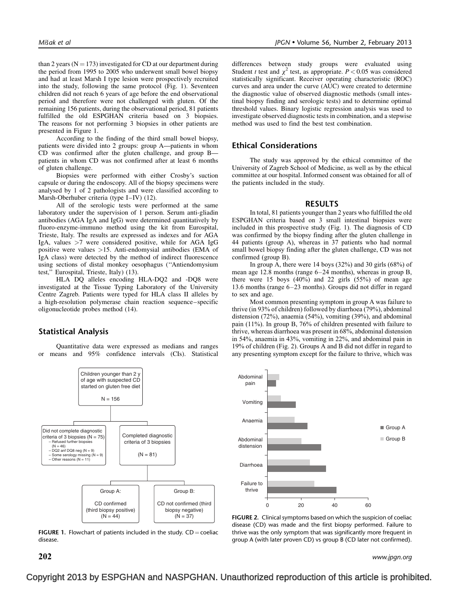than 2 years ( $N = 173$ ) investigated for CD at our department during the period from 1995 to 2005 who underwent small bowel biopsy and had at least Marsh I type lesion were prospectively recruited into the study, following the same protocol (Fig. 1). Seventeen children did not reach 6 years of age before the end observational period and therefore were not challenged with gluten. Of the remaining 156 patients, during the observational period, 81 patients fulfilled the old ESPGHAN criteria based on 3 biopsies. The reasons for not performing 3 biopsies in other patients are presented in Figure 1.

According to the finding of the third small bowel biopsy, patients were divided into 2 groups: group A—patients in whom CD was confirmed after the gluten challenge, and group B patients in whom CD was not confirmed after at least 6 months of gluten challenge.

Biopsies were performed with either Crosby's suction capsule or during the endoscopy. All of the biopsy specimens were analysed by 1 of 2 pathologists and were classified according to Marsh-Oberhuber criteria (type I–IV) [\(12\).](#page-4-0)

All of the serologic tests were performed at the same laboratory under the supervision of 1 person. Serum anti-gliadin antibodies (AGA IgA and IgG) were determined quantitatively by fluoro-enzyme-immuno method using the kit from Eurospital, Trieste, Italy. The results are expressed as indexes and for AGA IgA, values >7 were considered positive, while for AGA IgG positive were values >15. Anti-endomysial antibodies (EMA of IgA class) were detected by the method of indirect fluorescence using sections of distal monkey oesophagus (''Antiendomysium test,'' Eurospital, Trieste, Italy) [\(13\)](#page-4-0).

HLA DQ alleles encoding HLA-DQ2 and -DQ8 were investigated at the Tissue Typing Laboratory of the University Centre Zagreb. Patients were typed for HLA class II alleles by a high-resolution polymerase chain reaction sequence–specific oligonucleotide probes method [\(14\).](#page-4-0)

### Statistical Analysis

Quantitative data were expressed as medians and ranges or means and 95% confidence intervals (CIs). Statistical



**FIGURE 1.** Flowchart of patients included in the study.  $CD = \text{coeliac}$ disease.

differences between study groups were evaluated using Student t test and  $\chi^2$  test, as appropriate.  $P < 0.05$  was considered statistically significant. Receiver operating characteristic (ROC) curves and area under the curve (AUC) were created to determine the diagnostic value of observed diagnostic methods (small intestinal biopsy finding and serologic tests) and to determine optimal threshold values. Binary logistic regression analysis was used to investigate observed diagnostic tests in combination, and a stepwise method was used to find the best test combination.

## Ethical Considerations

The study was approved by the ethical committee of the University of Zagreb School of Medicine, as well as by the ethical committee at our hospital. Informed consent was obtained for all of the patients included in the study.

#### RESULTS

In total, 81 patients younger than 2 years who fulfilled the old ESPGHAN criteria based on 3 small intestinal biopsies were included in this prospective study (Fig. 1). The diagnosis of CD was confirmed by the biopsy finding after the gluten challenge in 44 patients (group A), whereas in 37 patients who had normal small bowel biopsy finding after the gluten challenge, CD was not confirmed (group B).

In group A, there were 14 boys (32%) and 30 girls (68%) of mean age 12.8 months (range 6–24 months), whereas in group B, there were 15 boys  $(40\%)$  and 22 girls  $(55\%)$  of mean age 13.6 months (range 6–23 months). Groups did not differ in regard to sex and age.

Most common presenting symptom in group A was failure to thrive (in 93% of children) followed by diarrhoea (79%), abdominal distension (72%), anaemia (54%), vomiting (39%), and abdominal pain (11%). In group B, 76% of children presented with failure to thrive, whereas diarrhoea was present in 68%, abdominal distension in 54%, anaemia in 43%, vomiting in 22%, and abdominal pain in 19% of children (Fig. 2). Groups A and B did not differ in regard to any presenting symptom except for the failure to thrive, which was



FIGURE 2. Clinical symptoms based on which the suspicion of coeliac disease (CD) was made and the first biopsy performed. Failure to thrive was the only symptom that was significantly more frequent in group A (with later proven CD) vs group B (CD later not confirmed).

 $\bf 202$  www.jpgn.org www.jpgn.org www.jpgn.org www.jpgn.org www.jpgn.org www.jpgn.org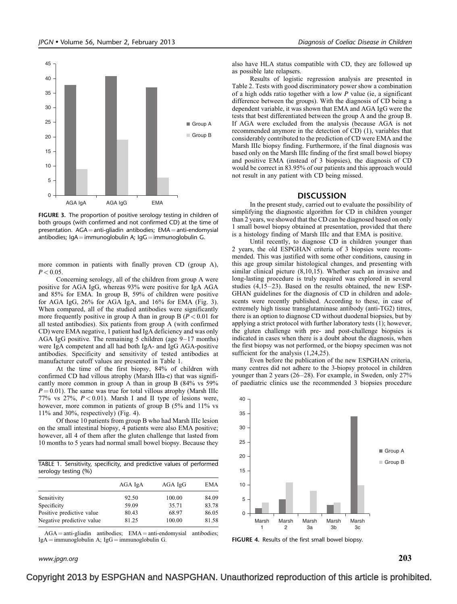

FIGURE 3. The proportion of positive serology testing in children of both groups (with confirmed and not confirmed CD) at the time of presentation.  $AGA = anti-gliadin$  antibodies;  $EMA = anti-endomysial$ antibodies;  $IqA = immunoglobin$  A;  $IqG = immunoglobin$  G.

more common in patients with finally proven CD (group A),  $P < 0.05$ .

Concerning serology, all of the children from group A were positive for AGA IgG, whereas 93% were positive for IgA AGA and 85% for EMA. In group B, 59% of children were positive for AGA IgG, 26% for AGA IgA, and 16% for EMA (Fig. 3). When compared, all of the studied antibodies were significantly more frequently positive in group A than in group B  $(P < 0.01$  for all tested antibodies). Six patients from group A (with confirmed CD) were EMA negative, 1 patient had IgA deficiency and was only AGA IgG positive. The remaining 5 children (age 9–17 months) were IgA competent and all had both IgA- and IgG AGA-positive antibodies. Specificity and sensitivity of tested antibodies at manufacturer cutoff values are presented in Table 1.

At the time of the first biopsy, 84% of children with confirmed CD had villous atrophy (Marsh IIIa-c) that was significantly more common in group A than in group B (84% vs 59%  $P = 0.01$ ). The same was true for total villous atrophy (Marsh IIIc 77% vs 27%,  $P < 0.01$ ). Marsh I and II type of lesions were, however, more common in patients of group B (5% and 11% vs 11% and 30%, respectively) (Fig. 4).

Of those 10 patients from group B who had Marsh IIIc lesion on the small intestinal biopsy, 4 patients were also EMA positive; however, all 4 of them after the gluten challenge that lasted from 10 months to 5 years had normal small bowel biopsy. Because they

TABLE 1. Sensitivity, specificity, and predictive values of performed serology testing (%)

|                           | AGA IgA | $AGA$ $IgG$ | EMA   |
|---------------------------|---------|-------------|-------|
| Sensitivity               | 92.50   | 100.00      | 84.09 |
| Specificity               | 59.09   | 35.71       | 83.78 |
| Positive predictive value | 80.43   | 68.97       | 86.05 |
| Negative predictive value | 81.25   | 100.00      | 81.58 |

 $AGA = anti-gliadin antibodies; EMA = anti-endomysial antibodies;$  $IgA = \text{immunoglobin A};$   $IgG = \text{immunoglobin G}.$ 

www.jpgn.org  $203$ 

also have HLA status compatible with CD, they are followed up as possible late relapsers.

Results of logistic regression analysis are presented in [Table 2.](#page-3-0) Tests with good discriminatory power show a combination of a high odds ratio together with a low  $P$  value (ie, a significant difference between the groups). With the diagnosis of CD being a dependent variable, it was shown that EMA and AGA IgG were the tests that best differentiated between the group A and the group B. If AGA were excluded from the analysis (because AGA is not recommended anymore in the detection of CD) [\(1\)](#page-3-0), variables that considerably contributed to the prediction of CD were EMA and the Marsh IIIc biopsy finding. Furthermore, if the final diagnosis was based only on the Marsh IIIc finding of the first small bowel biopsy and positive EMA (instead of 3 biopsies), the diagnosis of CD would be correct in 83.95% of our patients and this approach would not result in any patient with CD being missed.

#### **DISCUSSION**

In the present study, carried out to evaluate the possibility of simplifying the diagnostic algorithm for CD in children younger than 2 years, we showed that the CD can be diagnosed based on only 1 small bowel biopsy obtained at presentation, provided that there is a histology finding of Marsh IIIc and that EMA is positive.

Until recently, to diagnose CD in children younger than 2 years, the old ESPGHAN criteria of 3 biopsies were recommended. This was justified with some other conditions, causing in this age group similar histological changes, and presenting with similar clinical picture [\(8,10,15\)](#page-4-0). Whether such an invasive and long-lasting procedure is truly required was explored in several studies [\(4,15–23\).](#page-3-0) Based on the results obtained, the new ESP-GHAN guidelines for the diagnosis of CD in children and adolescents were recently published. According to these, in case of extremely high tissue transglutaminase antibody (anti-TG2) titres, there is an option to diagnose CD without duodenal biopsies, but by applying a strict protocol with further laboratory tests [\(1\);](#page-3-0) however, the gluten challenge with pre- and post-challenge biopsies is indicated in cases when there is a doubt about the diagnosis, when the first biopsy was not performed, or the biopsy specimen was not sufficient for the analysis  $(1,24,25)$ .

Even before the publication of the new ESPGHAN criteria, many centres did not adhere to the 3-biopsy protocol in children younger than 2 years [\(26–28\).](#page-4-0) For example, in Sweden, only 27% of paediatric clinics use the recommended 3 biopsies procedure



FIGURE 4. Results of the first small bowel biopsy.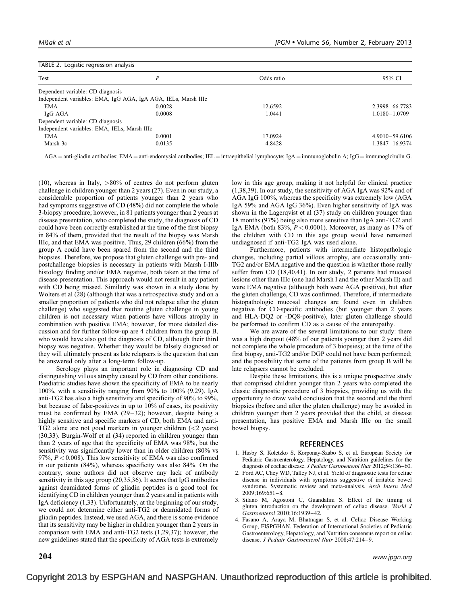<span id="page-3-0"></span>

| TABLE 2. Logistic regression analysis        |                                                                |            |                |  |  |
|----------------------------------------------|----------------------------------------------------------------|------------|----------------|--|--|
| Test                                         | P                                                              | Odds ratio | 95% CI         |  |  |
| Dependent variable: CD diagnosis             |                                                                |            |                |  |  |
|                                              | Independent variables: EMA, IgG AGA, IgA AGA, IELs, Marsh IIIc |            |                |  |  |
| <b>EMA</b>                                   | 0.0028                                                         | 12.6592    | 2.3998-66.7783 |  |  |
| IgG AGA                                      | 0.0008                                                         | 1.0441     | 1.0180-1.0709  |  |  |
| Dependent variable: CD diagnosis             |                                                                |            |                |  |  |
| Independent variables: EMA, IELs, Marsh IIIc |                                                                |            |                |  |  |
| <b>EMA</b>                                   | 0.0001                                                         | 17.0924    | 4.9010-59.6106 |  |  |
| Marsh 3c                                     | 0.0135                                                         | 4.8428     | 1.3847-16.9374 |  |  |
|                                              |                                                                |            |                |  |  |

 $AGA =$  anti-gliadin antibodies; EMA = anti-endomysial antibodies; IEL = intraepithelial lymphocyte; IgA = immunoglobulin A; IgG = immunoglobulin G.

[\(10\)](#page-4-0), whereas in Italy,  $>80\%$  of centres do not perform gluten challenge in children younger than 2 years [\(27\).](#page-4-0) Even in our study, a considerable proportion of patients younger than 2 years who had symptoms suggestive of CD (48%) did not complete the whole 3-biopsy procedure; however, in 81 patients younger than 2 years at disease presentation, who completed the study, the diagnosis of CD could have been correctly established at the time of the first biopsy in 84% of them, provided that the result of the biopsy was Marsh IIIc, and that EMA was positive. Thus, 29 children (66%) from the group A could have been spared from the second and the third biopsies. Therefore, we propose that gluten challenge with pre- and postchallenge biopsies is necessary in patients with Marsh I-IIIb histology finding and/or EMA negative, both taken at the time of disease presentation. This approach would not result in any patient with CD being missed. Similarly was shown in a study done by Wolters et al [\(28\)](#page-4-0) (although that was a retrospective study and on a smaller proportion of patients who did not relapse after the gluten challenge) who suggested that routine gluten challenge in young children is not necessary when patients have villous atrophy in combination with positive EMA; however, for more detailed discussion and for further follow-up are 4 children from the group B, who would have also got the diagnosis of CD, although their third biopsy was negative. Whether they would be falsely diagnosed or they will ultimately present as late relapsers is the question that can be answered only after a long-term follow-up.

Serology plays an important role in diagnosing CD and distinguishing villous atrophy caused by CD from other conditions. Paediatric studies have shown the specificity of EMA to be nearly 100%, with a sensitivity ranging from 90% to 100% [\(9,29\).](#page-4-0) IgA anti-TG2 has also a high sensitivity and specificity of 90% to 99%, but because of false-positives in up to 10% of cases, its positivity must be confirmed by EMA [\(29–32\);](#page-4-0) however, despite being a highly sensitive and specific markers of CD, both EMA and anti-TG2 alone are not good markers in younger children (<2 years) [\(30,33\)](#page-4-0). Burgin-Wolf et al [\(34\)](#page-4-0) reported in children younger than than 2 years of age that the specificity of EMA was 98%, but the sensitivity was significantly lower than in older children (80% vs 97%,  $P < 0.008$ ). This low sensitivity of EMA was also confirmed in our patients (84%), whereas specificity was also 84%. On the contrary, some authors did not observe any lack of antibody sensitivity in this age group [\(20,35,36\)](#page-4-0). It seems that IgG antibodies against deamidated forms of gliadin peptides is a good tool for identifying CD in children younger than 2 years and in patients with IgA deficiency (1,33). Unfortunately, at the beginning of our study, we could not determine either anti-TG2 or deamidated forms of gliadin peptides. Instead, we used AGA, and there is some evidence that its sensitivity may be higher in children younger than 2 years in comparison with EMA and anti-TG2 tests (1,29,37); however, the new guidelines stated that the specificity of AGA tests is extremely

low in this age group, making it not helpful for clinical practice (1,38,39). In our study, the sensitivity of AGA IgA was 92% and of AGA IgG 100%, whereas the specificity was extremely low (AGA IgA 59% and AGA IgG 36%). Even higher sensitivity of IgA was shown in the Lagerqvist et al [\(37\)](#page-4-0) study on children younger than 18 months (97%) being also more sensitive than IgA anti-TG2 and IgA EMA (both 83%,  $P < 0.0001$ ). Moreover, as many as 17% of the children with CD in this age group would have remained undiagnosed if anti-TG2 IgA was used alone.

Furthermore, patients with intermediate histopathologic changes, including partial villous atrophy, are occasionally anti-TG2 and/or EMA negative and the question is whether those really suffer from CD [\(18,40,41\).](#page-4-0) In our study, 2 patients had mucosal lesions other than IIIc (one had Marsh I and the other Marsh II) and were EMA negative (although both were AGA positive), but after the gluten challenge, CD was confirmed. Therefore, if intermediate histopathologic mucosal changes are found even in children negative for CD-specific antibodies (but younger than 2 years and HLA-DQ2 or -DQ8-positive), later gluten challenge should be performed to confirm CD as a cause of the enteropathy.

We are aware of the several limitations to our study: there was a high dropout (48% of our patients younger than 2 years did not complete the whole procedure of 3 biopsies); at the time of the first biopsy, anti-TG2 and/or DGP could not have been performed; and the possibility that some of the patients from group B will be late relapsers cannot be excluded.

Despite these limitations, this is a unique prospective study that comprised children younger than 2 years who completed the classic diagnostic procedure of 3 biopsies, providing us with the opportunity to draw valid conclusion that the second and the third biopsies (before and after the gluten challenge) may be avoided in children younger than 2 years provided that the child, at disease presentation, has positive EMA and Marsh IIIc on the small bowel biopsy.

#### REFERENCES

- 1. Husby S, Koletzko S, Korponay-Szabo S, et al. European Society for Pediatric Gastroenterology, Hepatology, and Nutrition guidelines for the diagnosis of coeliac disease. J Pediatr Gastroenterol Nutr 2012;54:136–60.
- 2. Ford AC, Chey WD, Talley NJ, et al. Yield of diagnostic tests for celiac disease in individuals with symptoms suggestive of irritable bowel syndrome. Systematic review and meta-analysis. Arch Intern Med 2009;169:651–8.
- 3. Silano M, Agostoni C, Guandalini S. Effect of the timing of gluten introduction on the development of celiac disease. World J Gastroenterol 2010;16:1939–42.
- 4. Fasano A, Araya M, Bhatnagar S, et al. Celiac Disease Working Group, FISPGHAN. Federation of International Societies of Pediatric Gastroenterology, Hepatology, and Nutrition consensus report on celiac disease. J Pediatr Gastroenterol Nutr 2008;47:214–9.

 $\bf 204$  www.jpgn.org www.jpgn.org www.jpgn.org www.jpgn.org www.jpgn.org www.jpgn.org www.jpgn.org  $\bf 204$